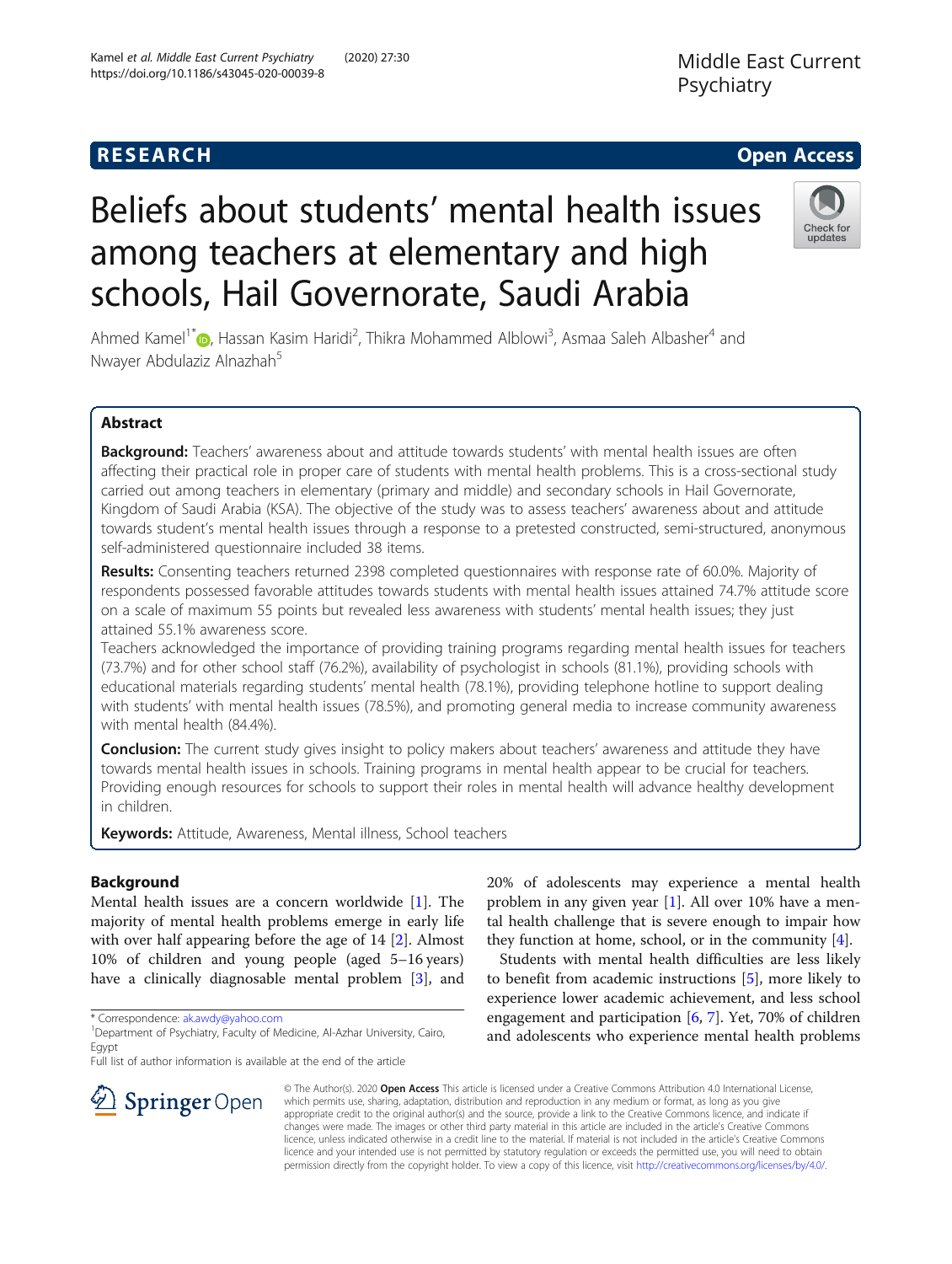## **RESEARCH CHE Open Access**

# Beliefs about students' mental health issues among teachers at elementary and high schools, Hail Governorate, Saudi Arabia

Ahmed Kamel<sup>1\*</sup> [,](http://orcid.org/0000-0002-0501-9865) Hassan Kasim Haridi<sup>2</sup>, Thikra Mohammed Alblowi<sup>3</sup>, Asmaa Saleh Albasher<sup>4</sup> and Nwayer Abdulaziz Alnazhah<sup>5</sup>

## Abstract

Background: Teachers' awareness about and attitude towards students' with mental health issues are often affecting their practical role in proper care of students with mental health problems. This is a cross-sectional study carried out among teachers in elementary (primary and middle) and secondary schools in Hail Governorate, Kingdom of Saudi Arabia (KSA). The objective of the study was to assess teachers' awareness about and attitude towards student's mental health issues through a response to a pretested constructed, semi-structured, anonymous self-administered questionnaire included 38 items.

Results: Consenting teachers returned 2398 completed questionnaires with response rate of 60.0%. Majority of respondents possessed favorable attitudes towards students with mental health issues attained 74.7% attitude score on a scale of maximum 55 points but revealed less awareness with students' mental health issues; they just attained 55.1% awareness score.

Teachers acknowledged the importance of providing training programs regarding mental health issues for teachers (73.7%) and for other school staff (76.2%), availability of psychologist in schools (81.1%), providing schools with educational materials regarding students' mental health (78.1%), providing telephone hotline to support dealing with students' with mental health issues (78.5%), and promoting general media to increase community awareness with mental health (84.4%).

**Conclusion:** The current study gives insight to policy makers about teachers' awareness and attitude they have towards mental health issues in schools. Training programs in mental health appear to be crucial for teachers. Providing enough resources for schools to support their roles in mental health will advance healthy development in children.

Keywords: Attitude, Awareness, Mental illness, School teachers

## Background

Mental health issues are a concern worldwide [[1\]](#page-9-0). The majority of mental health problems emerge in early life with over half appearing before the age of 14 [[2](#page-9-0)]. Almost 10% of children and young people (aged 5–16 years) have a clinically diagnosable mental problem [\[3\]](#page-9-0), and

\* Correspondence: [ak.awdy@yahoo.com](mailto:ak.awdy@yahoo.com) <sup>1</sup>

Full list of author information is available at the end of the article

20% of adolescents may experience a mental health problem in any given year [[1](#page-9-0)]. All over 10% have a mental health challenge that is severe enough to impair how they function at home, school, or in the community [\[4](#page-9-0)].

Students with mental health difficulties are less likely to benefit from academic instructions [\[5](#page-9-0)], more likely to experience lower academic achievement, and less school engagement and participation [[6,](#page-9-0) [7\]](#page-9-0). Yet, 70% of children and adolescents who experience mental health problems

© The Author(s). 2020 Open Access This article is licensed under a Creative Commons Attribution 4.0 International License, which permits use, sharing, adaptation, distribution and reproduction in any medium or format, as long as you give appropriate credit to the original author(s) and the source, provide a link to the Creative Commons licence, and indicate if changes were made. The images or other third party material in this article are included in the article's Creative Commons licence, unless indicated otherwise in a credit line to the material. If material is not included in the article's Creative Commons licence and your intended use is not permitted by statutory regulation or exceeds the permitted use, you will need to obtain permission directly from the copyright holder. To view a copy of this licence, visit <http://creativecommons.org/licenses/by/4.0/>.





<sup>&</sup>lt;sup>1</sup> Department of Psychiatry, Faculty of Medicine, Al-Azhar University, Cairo, Egypt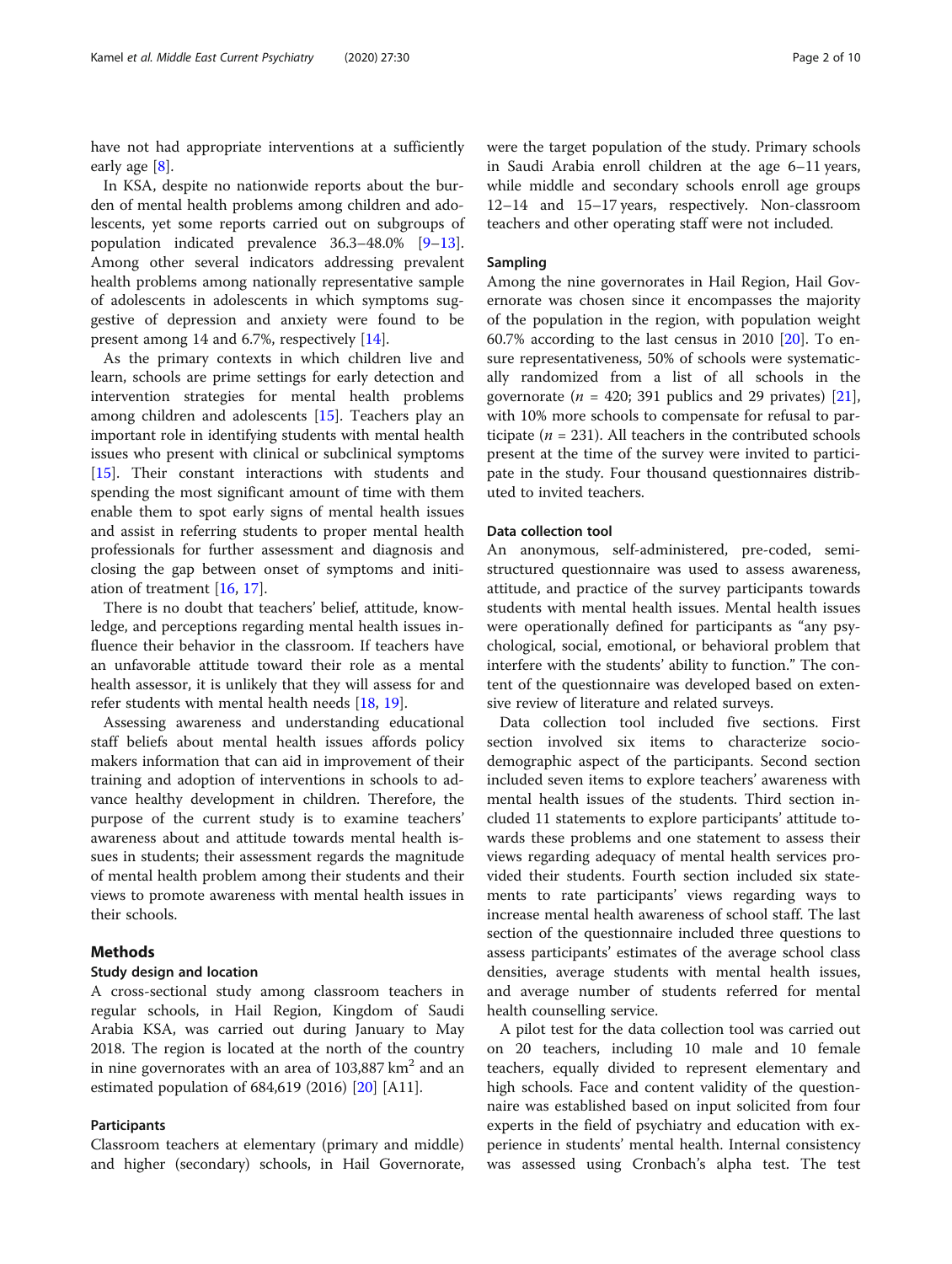have not had appropriate interventions at a sufficiently early age [[8\]](#page-9-0).

In KSA, despite no nationwide reports about the burden of mental health problems among children and adolescents, yet some reports carried out on subgroups of population indicated prevalence 36.3–48.0% [[9](#page-9-0)–[13](#page-9-0)]. Among other several indicators addressing prevalent health problems among nationally representative sample of adolescents in adolescents in which symptoms suggestive of depression and anxiety were found to be present among 14 and 6.7%, respectively [[14](#page-9-0)].

As the primary contexts in which children live and learn, schools are prime settings for early detection and intervention strategies for mental health problems among children and adolescents [[15](#page-9-0)]. Teachers play an important role in identifying students with mental health issues who present with clinical or subclinical symptoms [[15\]](#page-9-0). Their constant interactions with students and spending the most significant amount of time with them enable them to spot early signs of mental health issues and assist in referring students to proper mental health professionals for further assessment and diagnosis and closing the gap between onset of symptoms and initiation of treatment [\[16](#page-9-0), [17](#page-9-0)].

There is no doubt that teachers' belief, attitude, knowledge, and perceptions regarding mental health issues influence their behavior in the classroom. If teachers have an unfavorable attitude toward their role as a mental health assessor, it is unlikely that they will assess for and refer students with mental health needs [\[18,](#page-9-0) [19\]](#page-9-0).

Assessing awareness and understanding educational staff beliefs about mental health issues affords policy makers information that can aid in improvement of their training and adoption of interventions in schools to advance healthy development in children. Therefore, the purpose of the current study is to examine teachers' awareness about and attitude towards mental health issues in students; their assessment regards the magnitude of mental health problem among their students and their views to promote awareness with mental health issues in their schools.

## Methods

## Study design and location

A cross-sectional study among classroom teachers in regular schools, in Hail Region, Kingdom of Saudi Arabia KSA, was carried out during January to May 2018. The region is located at the north of the country in nine governorates with an area of  $103,887 \text{ km}^2$  and an estimated population of 684,619 (2016) [\[20](#page-9-0)] [A11].

#### Participants

Classroom teachers at elementary (primary and middle) and higher (secondary) schools, in Hail Governorate, were the target population of the study. Primary schools in Saudi Arabia enroll children at the age 6–11 years, while middle and secondary schools enroll age groups 12–14 and 15–17 years, respectively. Non-classroom teachers and other operating staff were not included.

#### Sampling

Among the nine governorates in Hail Region, Hail Governorate was chosen since it encompasses the majority of the population in the region, with population weight 60.7% according to the last census in 2010 [[20\]](#page-9-0). To ensure representativeness, 50% of schools were systematically randomized from a list of all schools in the governorate ( $n = 420$ ; 391 publics and 29 privates) [\[21](#page-9-0)], with 10% more schools to compensate for refusal to participate ( $n = 231$ ). All teachers in the contributed schools present at the time of the survey were invited to participate in the study. Four thousand questionnaires distributed to invited teachers.

## Data collection tool

An anonymous, self-administered, pre-coded, semistructured questionnaire was used to assess awareness, attitude, and practice of the survey participants towards students with mental health issues. Mental health issues were operationally defined for participants as "any psychological, social, emotional, or behavioral problem that interfere with the students' ability to function." The content of the questionnaire was developed based on extensive review of literature and related surveys.

Data collection tool included five sections. First section involved six items to characterize sociodemographic aspect of the participants. Second section included seven items to explore teachers' awareness with mental health issues of the students. Third section included 11 statements to explore participants' attitude towards these problems and one statement to assess their views regarding adequacy of mental health services provided their students. Fourth section included six statements to rate participants' views regarding ways to increase mental health awareness of school staff. The last section of the questionnaire included three questions to assess participants' estimates of the average school class densities, average students with mental health issues, and average number of students referred for mental health counselling service.

A pilot test for the data collection tool was carried out on 20 teachers, including 10 male and 10 female teachers, equally divided to represent elementary and high schools. Face and content validity of the questionnaire was established based on input solicited from four experts in the field of psychiatry and education with experience in students' mental health. Internal consistency was assessed using Cronbach's alpha test. The test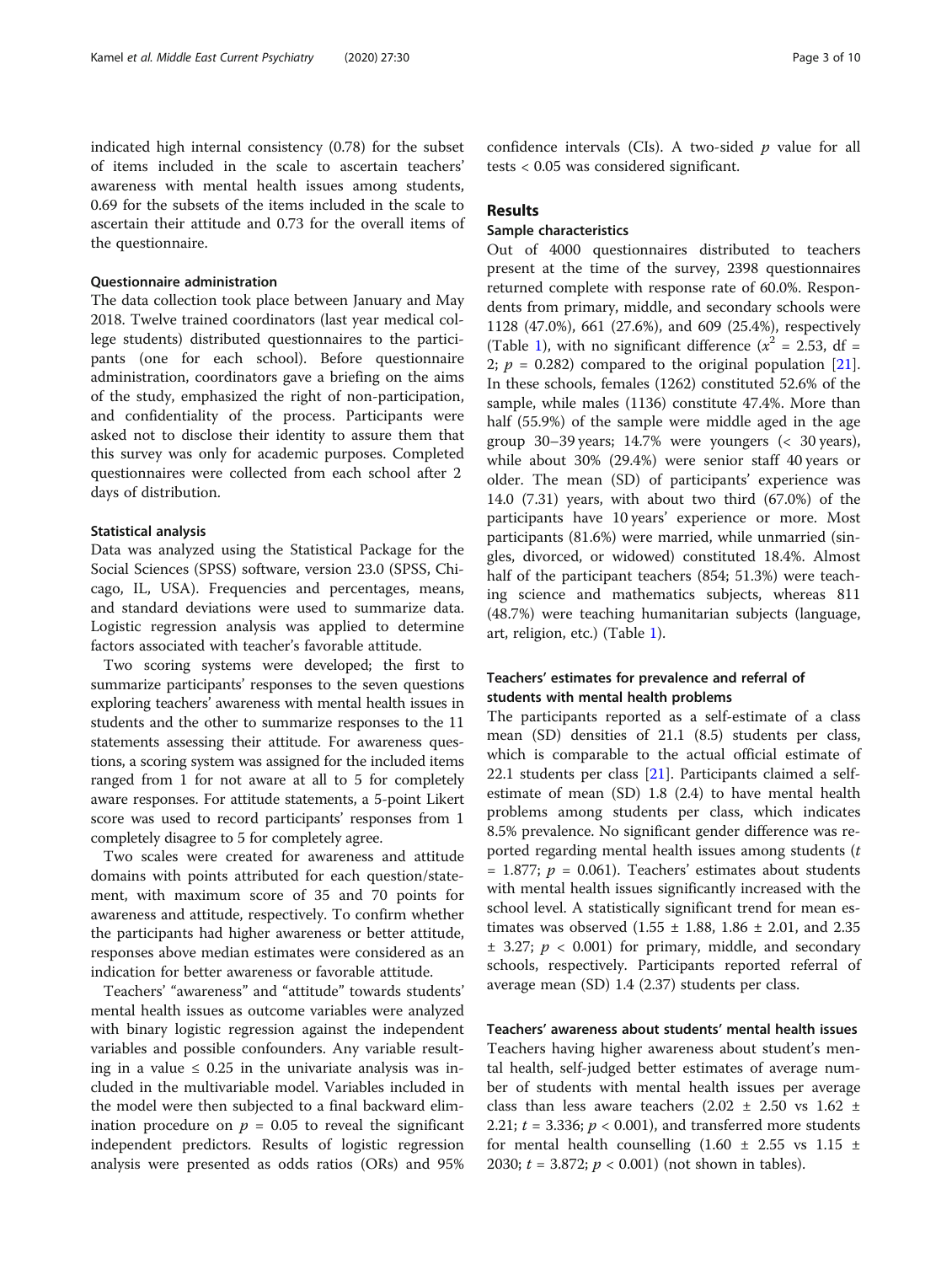indicated high internal consistency (0.78) for the subset of items included in the scale to ascertain teachers' awareness with mental health issues among students, 0.69 for the subsets of the items included in the scale to ascertain their attitude and 0.73 for the overall items of the questionnaire.

## Questionnaire administration

The data collection took place between January and May 2018. Twelve trained coordinators (last year medical college students) distributed questionnaires to the participants (one for each school). Before questionnaire administration, coordinators gave a briefing on the aims of the study, emphasized the right of non-participation, and confidentiality of the process. Participants were asked not to disclose their identity to assure them that this survey was only for academic purposes. Completed questionnaires were collected from each school after 2 days of distribution.

#### Statistical analysis

Data was analyzed using the Statistical Package for the Social Sciences (SPSS) software, version 23.0 (SPSS, Chicago, IL, USA). Frequencies and percentages, means, and standard deviations were used to summarize data. Logistic regression analysis was applied to determine factors associated with teacher's favorable attitude.

Two scoring systems were developed; the first to summarize participants' responses to the seven questions exploring teachers' awareness with mental health issues in students and the other to summarize responses to the 11 statements assessing their attitude. For awareness questions, a scoring system was assigned for the included items ranged from 1 for not aware at all to 5 for completely aware responses. For attitude statements, a 5-point Likert score was used to record participants' responses from 1 completely disagree to 5 for completely agree.

Two scales were created for awareness and attitude domains with points attributed for each question/statement, with maximum score of 35 and 70 points for awareness and attitude, respectively. To confirm whether the participants had higher awareness or better attitude, responses above median estimates were considered as an indication for better awareness or favorable attitude.

Teachers' "awareness" and "attitude" towards students' mental health issues as outcome variables were analyzed with binary logistic regression against the independent variables and possible confounders. Any variable resulting in a value  $\leq 0.25$  in the univariate analysis was included in the multivariable model. Variables included in the model were then subjected to a final backward elimination procedure on  $p = 0.05$  to reveal the significant independent predictors. Results of logistic regression analysis were presented as odds ratios (ORs) and 95%

confidence intervals (CIs). A two-sided  $p$  value for all tests < 0.05 was considered significant.

## Results

#### Sample characteristics

Out of 4000 questionnaires distributed to teachers present at the time of the survey, 2398 questionnaires returned complete with response rate of 60.0%. Respondents from primary, middle, and secondary schools were 1128 (47.0%), 661 (27.6%), and 609 (25.4%), respectively (Table [1](#page-3-0)), with no significant difference ( $x^2 = 2.53$ , df = 2;  $p = 0.282$ ) compared to the original population [\[21](#page-9-0)]. In these schools, females (1262) constituted 52.6% of the sample, while males (1136) constitute 47.4%. More than half (55.9%) of the sample were middle aged in the age group 30–39 years; 14.7% were youngers (< 30 years), while about 30% (29.4%) were senior staff 40 years or older. The mean (SD) of participants' experience was 14.0 (7.31) years, with about two third (67.0%) of the participants have 10 years' experience or more. Most participants (81.6%) were married, while unmarried (singles, divorced, or widowed) constituted 18.4%. Almost half of the participant teachers (854; 51.3%) were teaching science and mathematics subjects, whereas 811 (48.7%) were teaching humanitarian subjects (language, art, religion, etc.) (Table [1](#page-3-0)).

## Teachers' estimates for prevalence and referral of students with mental health problems

The participants reported as a self-estimate of a class mean (SD) densities of 21.1 (8.5) students per class, which is comparable to the actual official estimate of 22.1 students per class [[21](#page-9-0)]. Participants claimed a selfestimate of mean (SD) 1.8 (2.4) to have mental health problems among students per class, which indicates 8.5% prevalence. No significant gender difference was reported regarding mental health issues among students  $(t)$  $= 1.877$ ;  $p = 0.061$ ). Teachers' estimates about students with mental health issues significantly increased with the school level. A statistically significant trend for mean estimates was observed  $(1.55 \pm 1.88, 1.86 \pm 2.01,$  and 2.35  $\pm$  3.27;  $p < 0.001$ ) for primary, middle, and secondary schools, respectively. Participants reported referral of average mean (SD) 1.4 (2.37) students per class.

Teachers' awareness about students' mental health issues Teachers having higher awareness about student's mental health, self-judged better estimates of average number of students with mental health issues per average class than less aware teachers  $(2.02 \pm 2.50 \text{ vs } 1.62 \pm 1.62)$ 2.21;  $t = 3.336$ ;  $p < 0.001$ ), and transferred more students for mental health counselling  $(1.60 \pm 2.55 \text{ vs } 1.15 \pm 1.5)$ 2030;  $t = 3.872$ ;  $p < 0.001$ ) (not shown in tables).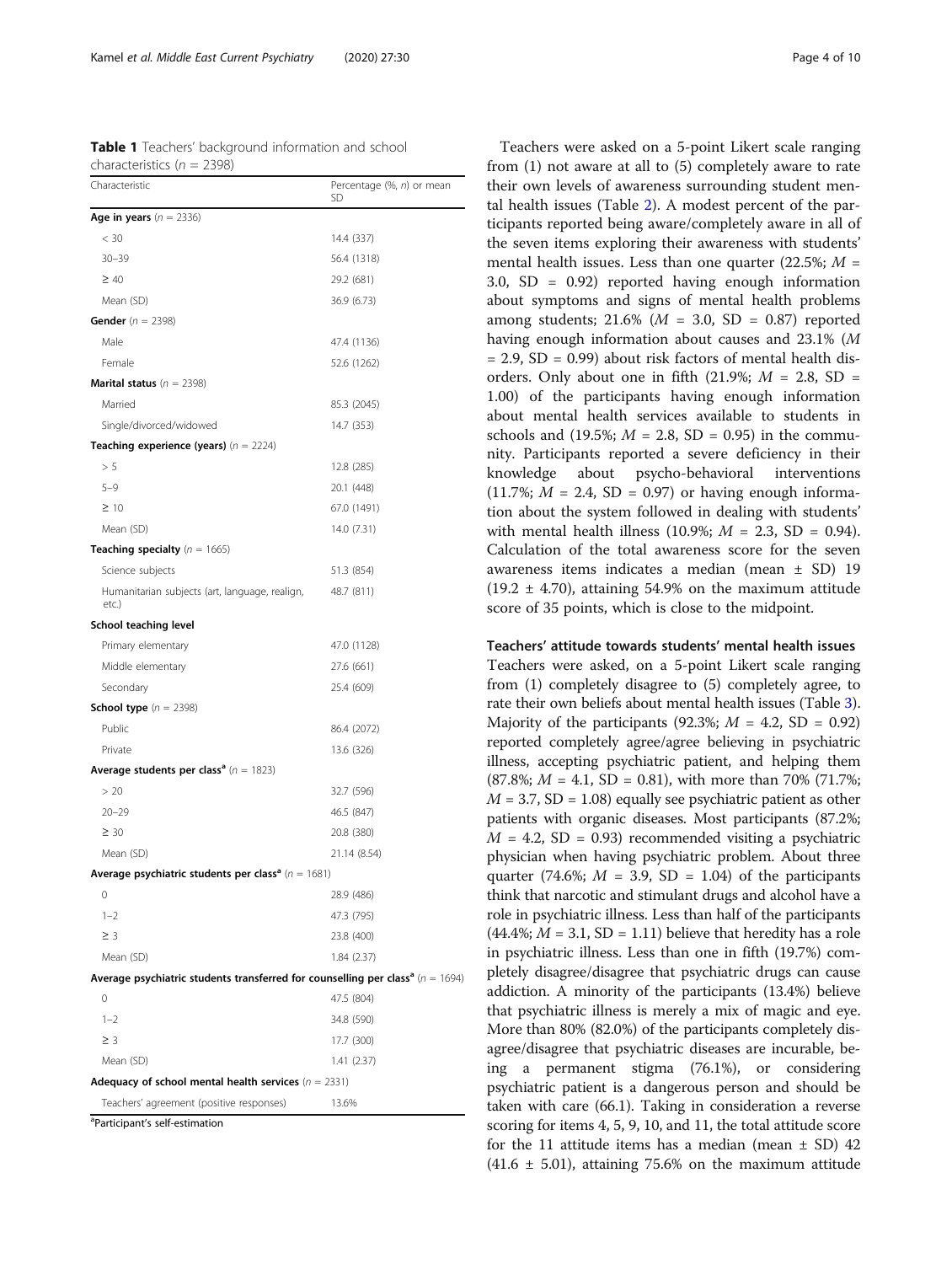<span id="page-3-0"></span>Kamel et al. Middle East Current Psychiatry (2020) 27:30 Page 4 of 10

Table 1 Teachers' background information and school characteristics ( $n = 2398$ )

| Characteristic                                                                                 | Percentage (%, n) or mean<br>SD |
|------------------------------------------------------------------------------------------------|---------------------------------|
| Age in years $(n = 2336)$                                                                      |                                 |
| < 30                                                                                           | 14.4 (337)                      |
| $30 - 39$                                                                                      | 56.4 (1318)                     |
| $\geq 40$                                                                                      | 29.2 (681)                      |
| Mean (SD)                                                                                      | 36.9 (6.73)                     |
| <b>Gender</b> ( $n = 2398$ )                                                                   |                                 |
| Male                                                                                           | 47.4 (1136)                     |
| Female                                                                                         | 52.6 (1262)                     |
| <b>Marital status</b> ( $n = 2398$ )                                                           |                                 |
| Married                                                                                        | 85.3 (2045)                     |
| Single/divorced/widowed                                                                        | 14.7 (353)                      |
| <b>Teaching experience (years)</b> $(n = 2224)$                                                |                                 |
| > 5                                                                                            | 12.8 (285)                      |
| $5 - 9$                                                                                        | 20.1 (448)                      |
| $\geq 10$                                                                                      | 67.0 (1491)                     |
| Mean (SD)                                                                                      | 14.0 (7.31)                     |
| <b>Teaching specialty</b> $(n = 1665)$                                                         |                                 |
| Science subjects                                                                               | 51.3 (854)                      |
| Humanitarian subjects (art, language, realign,<br>etc.)                                        | 48.7 (811)                      |
| School teaching level                                                                          |                                 |
| Primary elementary                                                                             | 47.0 (1128)                     |
| Middle elementary                                                                              | 27.6 (661)                      |
| Secondary                                                                                      | 25.4 (609)                      |
| <b>School type</b> $(n = 2398)$                                                                |                                 |
| Public                                                                                         | 86.4 (2072)                     |
| Private                                                                                        | 13.6 (326)                      |
| <b>Average students per class<sup>a</sup></b> ( $n = 1823$ )                                   |                                 |
| > 20                                                                                           | 32.7 (596)                      |
| $20 - 29$                                                                                      | 46.5 (847)                      |
| $\geq 30$                                                                                      | 20.8 (380)                      |
| Mean (SD)                                                                                      | 21.14 (8.54)                    |
| Average psychiatric students per class <sup>a</sup> ( $n = 1681$ )                             |                                 |
| O                                                                                              | 28.9 (486)                      |
| $1 - 2$                                                                                        | 47.3 (795)                      |
| $\geq$ 3                                                                                       | 23.8 (400)                      |
| Mean (SD)                                                                                      | 1.84 (2.37)                     |
| Average psychiatric students transferred for counselling per class <sup>a</sup> ( $n = 1694$ ) |                                 |
| 0                                                                                              | 47.5 (804)                      |
| $1 - 2$                                                                                        | 34.8 (590)                      |
| $\geq$ 3                                                                                       | 17.7 (300)                      |
| Mean (SD)                                                                                      | 1.41 (2.37)                     |
| Adequacy of school mental health services ( $n = 2331$ )                                       |                                 |
| Teachers' agreement (positive responses)                                                       | 13.6%                           |

a Participant's self-estimation

Teachers were asked on a 5-point Likert scale ranging from (1) not aware at all to (5) completely aware to rate their own levels of awareness surrounding student mental health issues (Table [2](#page-4-0)). A modest percent of the participants reported being aware/completely aware in all of the seven items exploring their awareness with students' mental health issues. Less than one quarter (22.5%;  $M =$ 3.0, SD = 0.92) reported having enough information about symptoms and signs of mental health problems among students;  $21.6\%$  ( $M = 3.0$ , SD = 0.87) reported having enough information about causes and 23.1% (M  $= 2.9$ , SD  $= 0.99$ ) about risk factors of mental health disorders. Only about one in fifth (21.9%;  $M = 2.8$ , SD = 1.00) of the participants having enough information about mental health services available to students in schools and (19.5%;  $M = 2.8$ , SD = 0.95) in the community. Participants reported a severe deficiency in their knowledge about psycho-behavioral interventions  $(11.7\%; M = 2.4, SD = 0.97)$  or having enough information about the system followed in dealing with students' with mental health illness (10.9%;  $M = 2.3$ , SD = 0.94). Calculation of the total awareness score for the seven awareness items indicates a median (mean ± SD) 19  $(19.2 \pm 4.70)$ , attaining 54.9% on the maximum attitude score of 35 points, which is close to the midpoint.

Teachers' attitude towards students' mental health issues

Teachers were asked, on a 5-point Likert scale ranging from (1) completely disagree to (5) completely agree, to rate their own beliefs about mental health issues (Table [3](#page-5-0)). Majority of the participants (92.3%;  $M = 4.2$ , SD = 0.92) reported completely agree/agree believing in psychiatric illness, accepting psychiatric patient, and helping them  $(87.8\%; M = 4.1, SD = 0.81)$ , with more than 70% (71.7%;  $M = 3.7$ , SD = 1.08) equally see psychiatric patient as other patients with organic diseases. Most participants (87.2%;  $M = 4.2$ , SD = 0.93) recommended visiting a psychiatric physician when having psychiatric problem. About three quarter (74.6%;  $M = 3.9$ , SD = 1.04) of the participants think that narcotic and stimulant drugs and alcohol have a role in psychiatric illness. Less than half of the participants  $(44.4\%; M = 3.1, SD = 1.11)$  believe that heredity has a role in psychiatric illness. Less than one in fifth (19.7%) completely disagree/disagree that psychiatric drugs can cause addiction. A minority of the participants (13.4%) believe that psychiatric illness is merely a mix of magic and eye. More than 80% (82.0%) of the participants completely disagree/disagree that psychiatric diseases are incurable, being a permanent stigma (76.1%), or considering psychiatric patient is a dangerous person and should be taken with care (66.1). Taking in consideration a reverse scoring for items 4, 5, 9, 10, and 11, the total attitude score for the 11 attitude items has a median (mean  $\pm$  SD) 42  $(41.6 \pm 5.01)$ , attaining 75.6% on the maximum attitude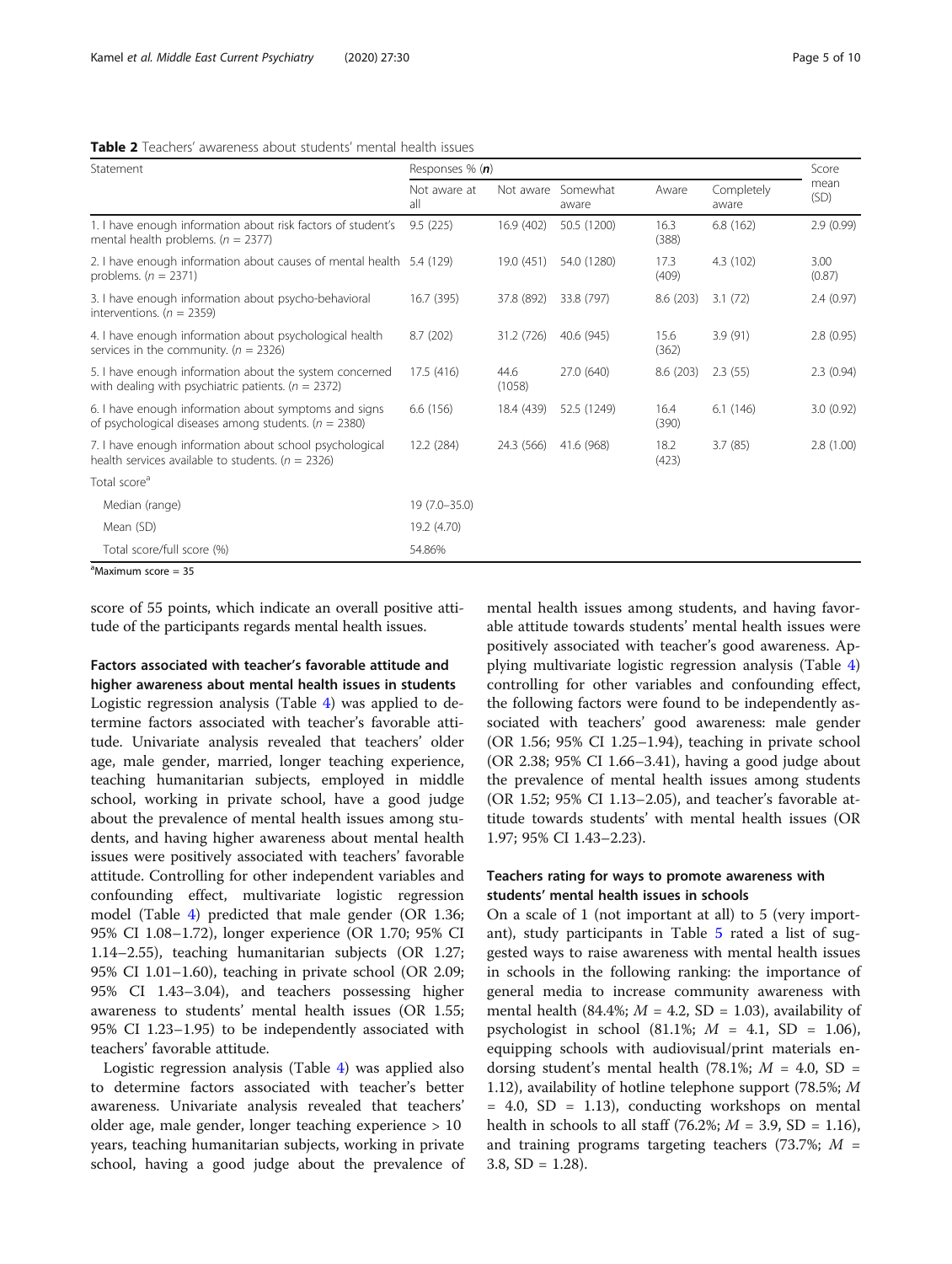<span id="page-4-0"></span>

| <b>Table 2</b> Teachers' awareness about students' mental health issues |  |
|-------------------------------------------------------------------------|--|
|-------------------------------------------------------------------------|--|

| mean<br>Completely<br>(SD)<br>aware<br>2.9(0.99)<br>6.8(162)<br>4.3 (102)<br>3.00<br>(0.87)<br>8.6(203)<br>2.4(0.97)<br>3.1(72) |  |
|---------------------------------------------------------------------------------------------------------------------------------|--|
|                                                                                                                                 |  |
|                                                                                                                                 |  |
|                                                                                                                                 |  |
|                                                                                                                                 |  |
| 3.9(91)<br>2.8(0.95)                                                                                                            |  |
| 2.3(0.94)<br>8.6 (203)<br>2.3(55)                                                                                               |  |
| 6.1(146)<br>3.0(0.92)                                                                                                           |  |
| 2.8(1.00)<br>3.7(85)                                                                                                            |  |
|                                                                                                                                 |  |
|                                                                                                                                 |  |
|                                                                                                                                 |  |
|                                                                                                                                 |  |
|                                                                                                                                 |  |

<sup>a</sup>Maximum score = 35

score of 55 points, which indicate an overall positive attitude of the participants regards mental health issues.

Factors associated with teacher's favorable attitude and higher awareness about mental health issues in students

Logistic regression analysis (Table [4\)](#page-6-0) was applied to determine factors associated with teacher's favorable attitude. Univariate analysis revealed that teachers' older age, male gender, married, longer teaching experience, teaching humanitarian subjects, employed in middle school, working in private school, have a good judge about the prevalence of mental health issues among students, and having higher awareness about mental health issues were positively associated with teachers' favorable attitude. Controlling for other independent variables and confounding effect, multivariate logistic regression model (Table [4](#page-6-0)) predicted that male gender (OR 1.36; 95% CI 1.08–1.72), longer experience (OR 1.70; 95% CI 1.14–2.55), teaching humanitarian subjects (OR 1.27; 95% CI 1.01–1.60), teaching in private school (OR 2.09; 95% CI 1.43–3.04), and teachers possessing higher awareness to students' mental health issues (OR 1.55; 95% CI 1.23–1.95) to be independently associated with teachers' favorable attitude.

Logistic regression analysis (Table [4\)](#page-6-0) was applied also to determine factors associated with teacher's better awareness. Univariate analysis revealed that teachers' older age, male gender, longer teaching experience > 10 years, teaching humanitarian subjects, working in private school, having a good judge about the prevalence of mental health issues among students, and having favorable attitude towards students' mental health issues were positively associated with teacher's good awareness. Applying multivariate logistic regression analysis (Table [4](#page-6-0)) controlling for other variables and confounding effect, the following factors were found to be independently associated with teachers' good awareness: male gender (OR 1.56; 95% CI 1.25–1.94), teaching in private school (OR 2.38; 95% CI 1.66–3.41), having a good judge about the prevalence of mental health issues among students (OR 1.52; 95% CI 1.13–2.05), and teacher's favorable attitude towards students' with mental health issues (OR 1.97; 95% CI 1.43–2.23).

## Teachers rating for ways to promote awareness with students' mental health issues in schools

On a scale of 1 (not important at all) to 5 (very important), study participants in Table [5](#page-7-0) rated a list of suggested ways to raise awareness with mental health issues in schools in the following ranking: the importance of general media to increase community awareness with mental health (84.4%;  $M = 4.2$ , SD = 1.03), availability of psychologist in school  $(81.1\%; M = 4.1, SD = 1.06)$ , equipping schools with audiovisual/print materials endorsing student's mental health (78.1%;  $M = 4.0$ , SD = 1.12), availability of hotline telephone support (78.5%; M  $= 4.0$ , SD  $= 1.13$ ), conducting workshops on mental health in schools to all staff (76.2%;  $M = 3.9$ , SD = 1.16), and training programs targeting teachers (73.7%;  $M =$ 3.8,  $SD = 1.28$ ).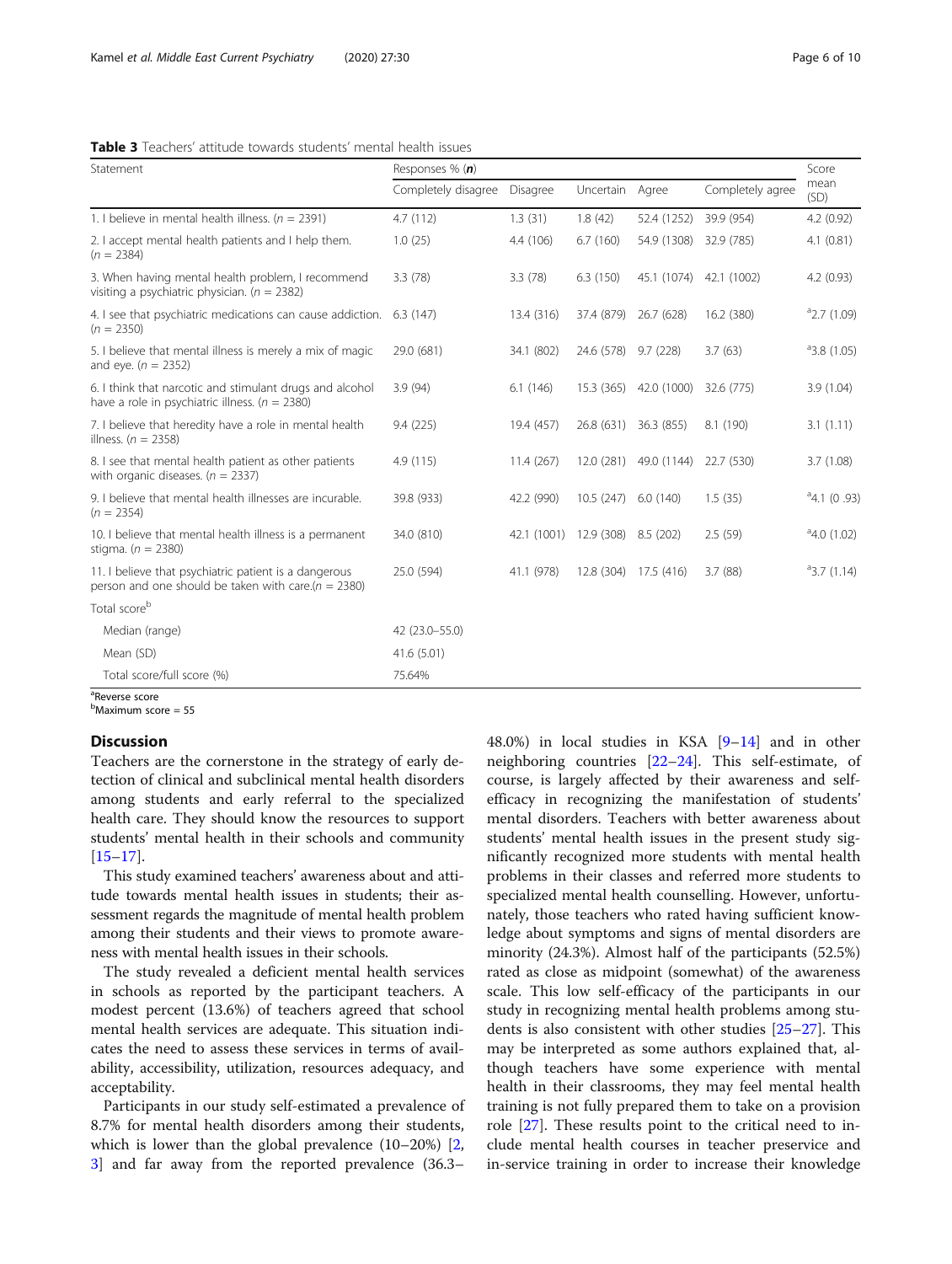<span id="page-5-0"></span>

| <b>Table 3</b> Teachers' attitude towards students' mental health issues |  |
|--------------------------------------------------------------------------|--|
|--------------------------------------------------------------------------|--|

| Statement                                                                                                        | Responses % (n)     |             |                      |                        |                  |                      |
|------------------------------------------------------------------------------------------------------------------|---------------------|-------------|----------------------|------------------------|------------------|----------------------|
|                                                                                                                  | Completely disagree | Disagree    | Uncertain            | Agree                  | Completely agree | mean<br>(SD)         |
| 1. I believe in mental health illness. ( $n = 2391$ )                                                            | 4.7(112)            | 1.3(31)     | 1.8(42)              | 52.4 (1252)            | 39.9 (954)       | 4.2(0.92)            |
| 2. I accept mental health patients and I help them.<br>$(n = 2384)$                                              | 1.0(25)             | 4.4 (106)   | 6.7(160)             | 54.9 (1308)            | 32.9 (785)       | 4.1(0.81)            |
| 3. When having mental health problem, I recommend<br>visiting a psychiatric physician. ( $n = 2382$ )            | 3.3(78)             | 3.3(78)     | 6.3(150)             | 45.1 (1074)            | 42.1 (1002)      | 4.2(0.93)            |
| 4. I see that psychiatric medications can cause addiction.<br>$(n = 2350)$                                       | 6.3(147)            | 13.4 (316)  | 37.4 (879)           | 26.7 (628)             | 16.2 (380)       | $a$ 2.7 (1.09)       |
| 5. I believe that mental illness is merely a mix of magic<br>and eye. ( $n = 2352$ )                             | 29.0 (681)          | 34.1 (802)  | 24.6 (578) 9.7 (228) |                        | 3.7(63)          | 43.8(1.05)           |
| 6. I think that narcotic and stimulant drugs and alcohol<br>have a role in psychiatric illness. ( $n = 2380$ )   | 3.9(94)             | 6.1(146)    | 15.3 (365)           | 42.0 (1000)            | 32.6 (775)       | 3.9(1.04)            |
| 7. I believe that heredity have a role in mental health<br>illness. $(n = 2358)$                                 | 9.4(225)            | 19.4 (457)  |                      | 26.8 (631) 36.3 (855)  | 8.1 (190)        | 3.1(1.11)            |
| 8. I see that mental health patient as other patients<br>with organic diseases. ( $n = 2337$ )                   | 4.9(115)            | 11.4(267)   |                      | 12.0 (281) 49.0 (1144) | 22.7 (530)       | 3.7(1.08)            |
| 9. I believe that mental health illnesses are incurable.<br>$(n = 2354)$                                         | 39.8 (933)          | 42.2 (990)  | 10.5(247)            | 6.0(140)               | 1.5(35)          | $a$ 4.1 (0.93)       |
| 10. I believe that mental health illness is a permanent<br>stigma. ( $n = 2380$ )                                | 34.0 (810)          | 42.1 (1001) | 12.9 (308)           | 8.5 (202)              | 2.5(59)          | $^{\circ}4.0$ (1.02) |
| 11. I believe that psychiatric patient is a dangerous<br>person and one should be taken with care.( $n = 2380$ ) | 25.0 (594)          | 41.1 (978)  | 12.8 (304)           | 17.5 (416)             | 3.7(88)          | $a$ 3.7 (1.14)       |
| Total score <sup>b</sup>                                                                                         |                     |             |                      |                        |                  |                      |
| Median (range)                                                                                                   | 42 (23.0-55.0)      |             |                      |                        |                  |                      |
| Mean (SD)                                                                                                        | 41.6 (5.01)         |             |                      |                        |                  |                      |
| Total score/full score (%)                                                                                       | 75.64%              |             |                      |                        |                  |                      |

<sup>a</sup>Reverse score

<sup>b</sup>Maximum score = 55

## **Discussion**

Teachers are the cornerstone in the strategy of early detection of clinical and subclinical mental health disorders among students and early referral to the specialized health care. They should know the resources to support students' mental health in their schools and community [[15](#page-9-0)–[17](#page-9-0)].

This study examined teachers' awareness about and attitude towards mental health issues in students; their assessment regards the magnitude of mental health problem among their students and their views to promote awareness with mental health issues in their schools.

The study revealed a deficient mental health services in schools as reported by the participant teachers. A modest percent (13.6%) of teachers agreed that school mental health services are adequate. This situation indicates the need to assess these services in terms of availability, accessibility, utilization, resources adequacy, and acceptability.

Participants in our study self-estimated a prevalence of 8.7% for mental health disorders among their students, which is lower than the global prevalence (10–20%) [\[2](#page-9-0), [3\]](#page-9-0) and far away from the reported prevalence (36.3–

48.0%) in local studies in KSA [\[9](#page-9-0)–[14\]](#page-9-0) and in other neighboring countries [\[22](#page-9-0)–[24\]](#page-9-0). This self-estimate, of course, is largely affected by their awareness and selfefficacy in recognizing the manifestation of students' mental disorders. Teachers with better awareness about students' mental health issues in the present study significantly recognized more students with mental health problems in their classes and referred more students to specialized mental health counselling. However, unfortunately, those teachers who rated having sufficient knowledge about symptoms and signs of mental disorders are minority (24.3%). Almost half of the participants (52.5%) rated as close as midpoint (somewhat) of the awareness scale. This low self-efficacy of the participants in our study in recognizing mental health problems among students is also consistent with other studies [[25](#page-9-0)–[27](#page-9-0)]. This may be interpreted as some authors explained that, although teachers have some experience with mental health in their classrooms, they may feel mental health training is not fully prepared them to take on a provision role [[27](#page-9-0)]. These results point to the critical need to include mental health courses in teacher preservice and in-service training in order to increase their knowledge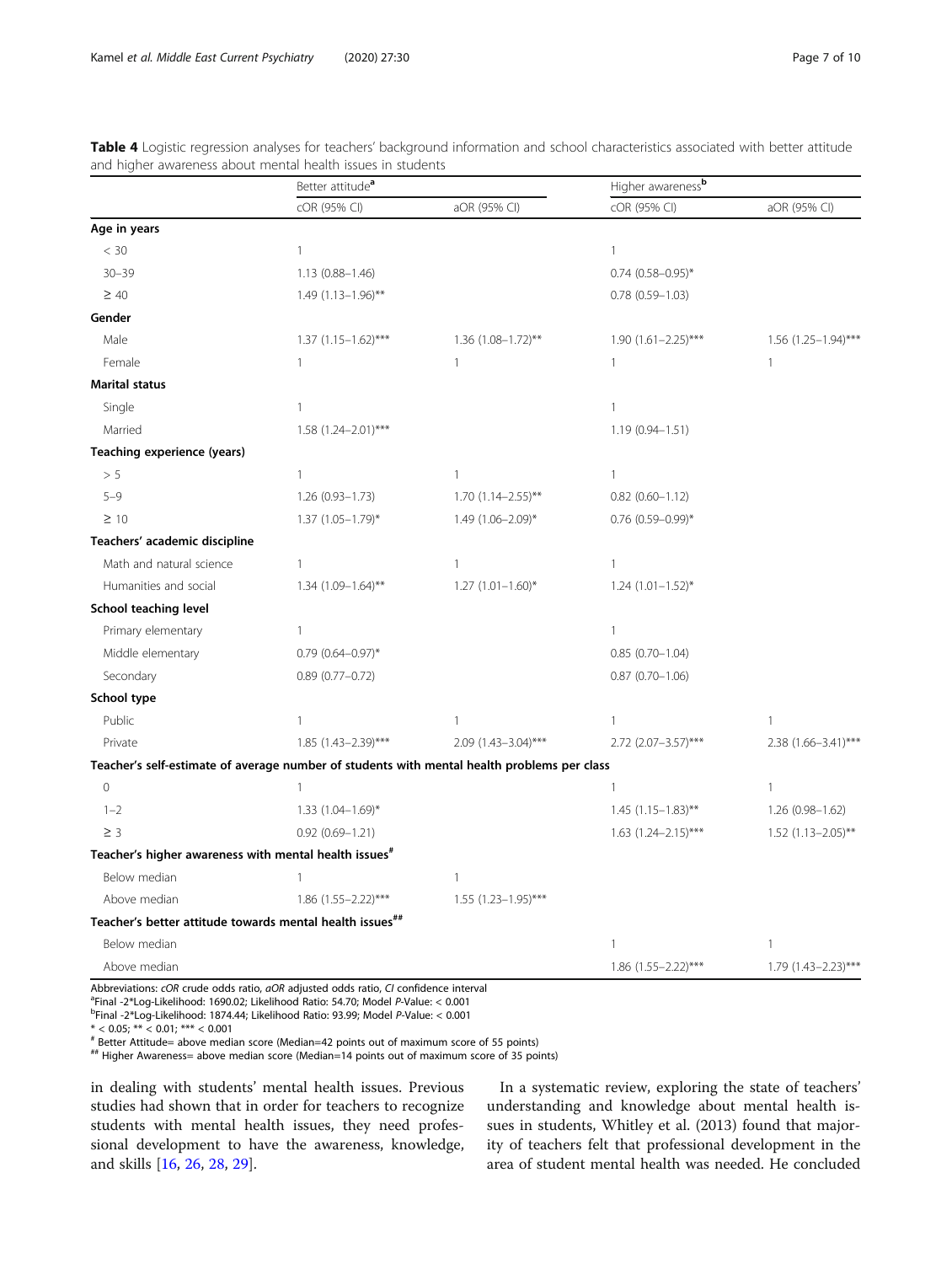|                                                                                             | Better attitude <sup>a</sup> |                        | Higher awarenessb          |                      |  |  |
|---------------------------------------------------------------------------------------------|------------------------------|------------------------|----------------------------|----------------------|--|--|
|                                                                                             | cOR (95% CI)                 | aOR (95% CI)           | cOR (95% CI)               | aOR (95% CI)         |  |  |
| Age in years                                                                                |                              |                        |                            |                      |  |  |
| < 30                                                                                        | $\mathbf{1}$                 |                        | $\mathbf{1}$               |                      |  |  |
| $30 - 39$                                                                                   | $1.13(0.88 - 1.46)$          |                        | $0.74$ $(0.58 - 0.95)^*$   |                      |  |  |
| $\geq 40$                                                                                   | $1.49$ (1.13-1.96)**         |                        | $0.78(0.59 - 1.03)$        |                      |  |  |
| Gender                                                                                      |                              |                        |                            |                      |  |  |
| Male                                                                                        | $1.37$ $(1.15 - 1.62)$ ***   | $1.36$ (1.08-1.72)**   | $1.90(1.61 - 2.25)$ ***    | 1.56 (1.25-1.94)***  |  |  |
| Female                                                                                      | $\mathbf{1}$                 | $\mathbf{1}$           | $\mathbf{1}$               | 1                    |  |  |
| <b>Marital status</b>                                                                       |                              |                        |                            |                      |  |  |
| Single                                                                                      | $\mathbf{1}$                 |                        | $\mathbf{1}$               |                      |  |  |
| Married                                                                                     | $1.58$ $(1.24 - 2.01)$ ***   |                        | $1.19(0.94 - 1.51)$        |                      |  |  |
| Teaching experience (years)                                                                 |                              |                        |                            |                      |  |  |
| > 5                                                                                         | $\mathbf{1}$                 | $\mathbf{1}$           | $\mathbf{1}$               |                      |  |  |
| $5 - 9$                                                                                     | $1.26(0.93 - 1.73)$          | $1.70(1.14 - 2.55)$ ** | $0.82$ (0.60-1.12)         |                      |  |  |
| $\geq 10$                                                                                   | $1.37$ $(1.05 - 1.79)^*$     | 1.49 (1.06-2.09)*      | $0.76$ (0.59-0.99)*        |                      |  |  |
| Teachers' academic discipline                                                               |                              |                        |                            |                      |  |  |
| Math and natural science                                                                    | $\mathbf{1}$                 | 1                      | $\overline{1}$             |                      |  |  |
| Humanities and social                                                                       | $1.34$ $(1.09 - 1.64)$ **    | $1.27$ $(1.01-1.60)$ * | $1.24$ $(1.01-1.52)$ *     |                      |  |  |
| School teaching level                                                                       |                              |                        |                            |                      |  |  |
| Primary elementary                                                                          | $\mathbf{1}$                 |                        | $\mathbf{1}$               |                      |  |  |
| Middle elementary                                                                           | $0.79$ $(0.64 - 0.97)$ *     |                        | $0.85(0.70 - 1.04)$        |                      |  |  |
| Secondary                                                                                   | $0.89(0.77 - 0.72)$          |                        | $0.87(0.70 - 1.06)$        |                      |  |  |
| School type                                                                                 |                              |                        |                            |                      |  |  |
| Public                                                                                      | $\mathbf{1}$                 | $\mathbf{1}$           | $\mathbf{1}$               | $\mathbf{1}$         |  |  |
| Private                                                                                     | 1.85 (1.43-2.39)***          | 2.09 (1.43-3.04)***    | 2.72 (2.07-3.57)***        | 2.38 (1.66-3.41)***  |  |  |
| Teacher's self-estimate of average number of students with mental health problems per class |                              |                        |                            |                      |  |  |
| $\overline{O}$                                                                              | $\mathbf{1}$                 |                        | $\mathbf{1}$               | 1                    |  |  |
| $1 - 2$                                                                                     | 1.33 (1.04-1.69)*            |                        | $1.45$ (1.15-1.83)**       | 1.26 (0.98-1.62)     |  |  |
| $\geq$ 3                                                                                    | $0.92(0.69 - 1.21)$          |                        | $1.63$ $(1.24 - 2.15)$ *** | $1.52$ (1.13-2.05)** |  |  |
| Teacher's higher awareness with mental health issues <sup>#</sup>                           |                              |                        |                            |                      |  |  |
| Below median                                                                                | $\mathbf{1}$                 | $\mathbf{1}$           |                            |                      |  |  |
| Above median                                                                                | $1.86$ (1.55-2.22)***        | $1.55$ (1.23-1.95)***  |                            |                      |  |  |
| Teacher's better attitude towards mental health issues##                                    |                              |                        |                            |                      |  |  |
| Below median                                                                                |                              |                        | $\mathbf{1}$               | 1                    |  |  |
| Above median                                                                                |                              |                        | 1.86 (1.55-2.22)***        | 1.79 (1.43-2.23)***  |  |  |

<span id="page-6-0"></span>Table 4 Logistic regression analyses for teachers' background information and school characteristics associated with better attitude and higher awareness about mental health issues in students

Abbreviations: cOR crude odds ratio, aOR adjusted odds ratio, CI confidence interval

 $^{\text{a}}$ Final -2\*Log-Likelihood: 1690.02; Likelihood Ratio: 54.70; Model P-Value: < 0.001

Final -2\*Log-Likelihood: 1874.44; Likelihood Ratio: 93.99; Model P-Value: < 0.001

 $* < 0.05$ ; \*\*  $< 0.01$ ; \*\*\*  $< 0.001$ 

# Better Attitude= above median score (Median=42 points out of maximum score of 55 points)

## Higher Awareness= above median score (Median=14 points out of maximum score of 35 points)

in dealing with students' mental health issues. Previous studies had shown that in order for teachers to recognize students with mental health issues, they need professional development to have the awareness, knowledge, and skills [[16,](#page-9-0) [26,](#page-9-0) [28,](#page-9-0) [29](#page-9-0)].

In a systematic review, exploring the state of teachers' understanding and knowledge about mental health issues in students, Whitley et al. (2013) found that majority of teachers felt that professional development in the area of student mental health was needed. He concluded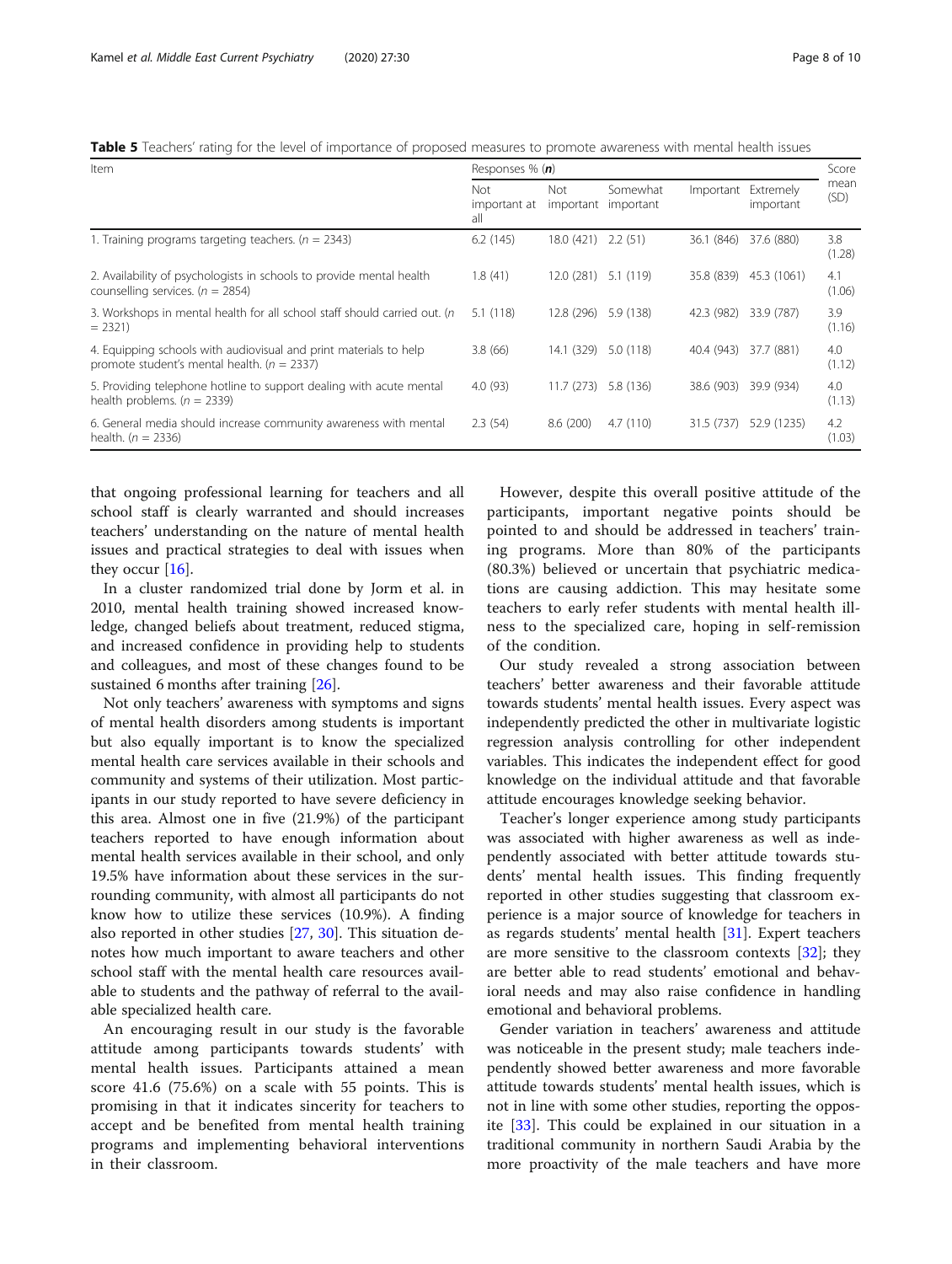<span id="page-7-0"></span>Table 5 Teachers' rating for the level of importance of proposed measures to promote awareness with mental health issues

| Item                                                                                                                 | Responses % $(n)$                 |            |                                 |            |                        | Score         |
|----------------------------------------------------------------------------------------------------------------------|-----------------------------------|------------|---------------------------------|------------|------------------------|---------------|
|                                                                                                                      | <b>Not</b><br>important at<br>all | Not        | Somewhat<br>important important | Important  | Extremely<br>important | mean<br>(SD)  |
| 1. Training programs targeting teachers. ( $n = 2343$ )                                                              | 6.2(145)                          | 18.0 (421) | 2.2(51)                         | 36.1 (846) | 37.6 (880)             | 3.8<br>(1.28) |
| 2. Availability of psychologists in schools to provide mental health<br>counselling services. ( $n = 2854$ )         | 1.8(41)                           | 12.0 (281) | 5.1 (119)                       | 35.8 (839) | 45.3 (1061)            | 4.1<br>(1.06) |
| 3. Workshops in mental health for all school staff should carried out. (n<br>$= 2321$                                | 5.1(118)                          | 12.8 (296) | 5.9 (138)                       | 42.3 (982) | 33.9 (787)             | 3.9<br>(1.16) |
| 4. Equipping schools with audiovisual and print materials to help<br>promote student's mental health. ( $n = 2337$ ) | 3.8(66)                           | 14.1 (329) | 5.0 (118)                       | 40.4 (943) | 37.7 (881)             | 4.0<br>(1.12) |
| 5. Providing telephone hotline to support dealing with acute mental<br>health problems. $(n = 2339)$                 | 4.0(93)                           | 11.7(273)  | 5.8 (136)                       | 38.6 (903) | 39.9 (934)             | 4.0<br>(1.13) |
| 6. General media should increase community awareness with mental<br>health. $(n = 2336)$                             | 2.3(54)                           | 8.6(200)   | 4.7(110)                        | 31.5 (737) | 52.9 (1235)            | 4.2<br>(1.03) |

that ongoing professional learning for teachers and all school staff is clearly warranted and should increases teachers' understanding on the nature of mental health issues and practical strategies to deal with issues when they occur [[16\]](#page-9-0).

In a cluster randomized trial done by Jorm et al. in 2010, mental health training showed increased knowledge, changed beliefs about treatment, reduced stigma, and increased confidence in providing help to students and colleagues, and most of these changes found to be sustained 6 months after training [[26\]](#page-9-0).

Not only teachers' awareness with symptoms and signs of mental health disorders among students is important but also equally important is to know the specialized mental health care services available in their schools and community and systems of their utilization. Most participants in our study reported to have severe deficiency in this area. Almost one in five (21.9%) of the participant teachers reported to have enough information about mental health services available in their school, and only 19.5% have information about these services in the surrounding community, with almost all participants do not know how to utilize these services (10.9%). A finding also reported in other studies [\[27,](#page-9-0) [30\]](#page-9-0). This situation denotes how much important to aware teachers and other school staff with the mental health care resources available to students and the pathway of referral to the available specialized health care.

An encouraging result in our study is the favorable attitude among participants towards students' with mental health issues. Participants attained a mean score 41.6 (75.6%) on a scale with 55 points. This is promising in that it indicates sincerity for teachers to accept and be benefited from mental health training programs and implementing behavioral interventions in their classroom.

However, despite this overall positive attitude of the participants, important negative points should be pointed to and should be addressed in teachers' training programs. More than 80% of the participants (80.3%) believed or uncertain that psychiatric medications are causing addiction. This may hesitate some teachers to early refer students with mental health illness to the specialized care, hoping in self-remission of the condition.

Our study revealed a strong association between teachers' better awareness and their favorable attitude towards students' mental health issues. Every aspect was independently predicted the other in multivariate logistic regression analysis controlling for other independent variables. This indicates the independent effect for good knowledge on the individual attitude and that favorable attitude encourages knowledge seeking behavior.

Teacher's longer experience among study participants was associated with higher awareness as well as independently associated with better attitude towards students' mental health issues. This finding frequently reported in other studies suggesting that classroom experience is a major source of knowledge for teachers in as regards students' mental health [\[31\]](#page-9-0). Expert teachers are more sensitive to the classroom contexts  $[32]$  $[32]$ ; they are better able to read students' emotional and behavioral needs and may also raise confidence in handling emotional and behavioral problems.

Gender variation in teachers' awareness and attitude was noticeable in the present study; male teachers independently showed better awareness and more favorable attitude towards students' mental health issues, which is not in line with some other studies, reporting the opposite [[33](#page-9-0)]. This could be explained in our situation in a traditional community in northern Saudi Arabia by the more proactivity of the male teachers and have more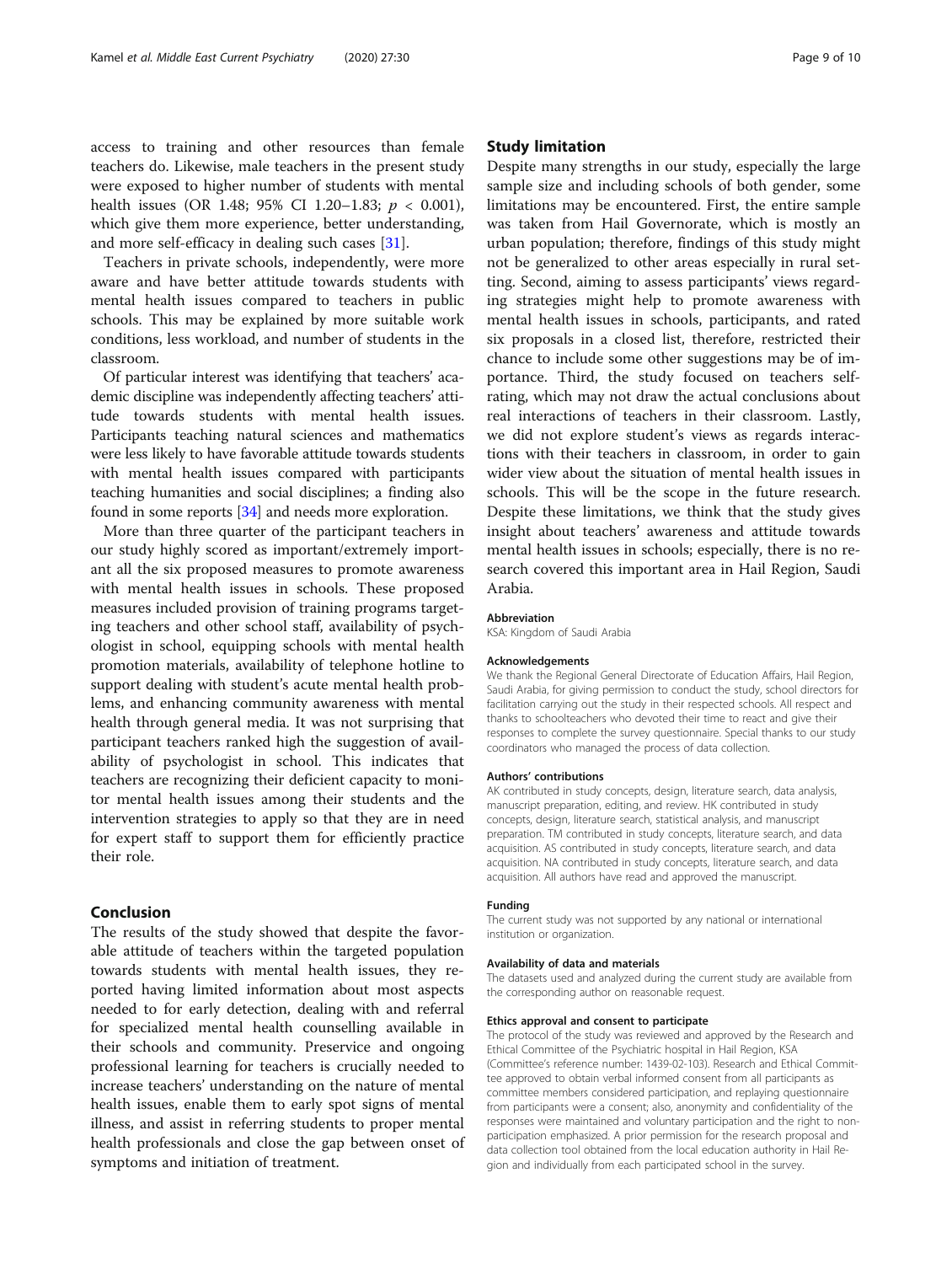access to training and other resources than female teachers do. Likewise, male teachers in the present study were exposed to higher number of students with mental health issues (OR 1.48; 95% CI 1.20–1.83;  $p < 0.001$ ), which give them more experience, better understanding, and more self-efficacy in dealing such cases [\[31\]](#page-9-0).

Teachers in private schools, independently, were more aware and have better attitude towards students with mental health issues compared to teachers in public schools. This may be explained by more suitable work conditions, less workload, and number of students in the classroom.

Of particular interest was identifying that teachers' academic discipline was independently affecting teachers' attitude towards students with mental health issues. Participants teaching natural sciences and mathematics were less likely to have favorable attitude towards students with mental health issues compared with participants teaching humanities and social disciplines; a finding also found in some reports [\[34\]](#page-9-0) and needs more exploration.

More than three quarter of the participant teachers in our study highly scored as important/extremely important all the six proposed measures to promote awareness with mental health issues in schools. These proposed measures included provision of training programs targeting teachers and other school staff, availability of psychologist in school, equipping schools with mental health promotion materials, availability of telephone hotline to support dealing with student's acute mental health problems, and enhancing community awareness with mental health through general media. It was not surprising that participant teachers ranked high the suggestion of availability of psychologist in school. This indicates that teachers are recognizing their deficient capacity to monitor mental health issues among their students and the intervention strategies to apply so that they are in need for expert staff to support them for efficiently practice their role.

#### Conclusion

The results of the study showed that despite the favorable attitude of teachers within the targeted population towards students with mental health issues, they reported having limited information about most aspects needed to for early detection, dealing with and referral for specialized mental health counselling available in their schools and community. Preservice and ongoing professional learning for teachers is crucially needed to increase teachers' understanding on the nature of mental health issues, enable them to early spot signs of mental illness, and assist in referring students to proper mental health professionals and close the gap between onset of symptoms and initiation of treatment.

#### Study limitation

Despite many strengths in our study, especially the large sample size and including schools of both gender, some limitations may be encountered. First, the entire sample was taken from Hail Governorate, which is mostly an urban population; therefore, findings of this study might not be generalized to other areas especially in rural setting. Second, aiming to assess participants' views regarding strategies might help to promote awareness with mental health issues in schools, participants, and rated six proposals in a closed list, therefore, restricted their chance to include some other suggestions may be of importance. Third, the study focused on teachers selfrating, which may not draw the actual conclusions about real interactions of teachers in their classroom. Lastly, we did not explore student's views as regards interactions with their teachers in classroom, in order to gain wider view about the situation of mental health issues in schools. This will be the scope in the future research. Despite these limitations, we think that the study gives insight about teachers' awareness and attitude towards mental health issues in schools; especially, there is no research covered this important area in Hail Region, Saudi Arabia.

#### Abbreviation

KSA: Kingdom of Saudi Arabia

#### Acknowledgements

We thank the Regional General Directorate of Education Affairs, Hail Region. Saudi Arabia, for giving permission to conduct the study, school directors for facilitation carrying out the study in their respected schools. All respect and thanks to schoolteachers who devoted their time to react and give their responses to complete the survey questionnaire. Special thanks to our study coordinators who managed the process of data collection.

#### Authors' contributions

AK contributed in study concepts, design, literature search, data analysis, manuscript preparation, editing, and review. HK contributed in study concepts, design, literature search, statistical analysis, and manuscript preparation. TM contributed in study concepts, literature search, and data acquisition. AS contributed in study concepts, literature search, and data acquisition. NA contributed in study concepts, literature search, and data acquisition. All authors have read and approved the manuscript.

#### Funding

The current study was not supported by any national or international institution or organization.

#### Availability of data and materials

The datasets used and analyzed during the current study are available from the corresponding author on reasonable request.

#### Ethics approval and consent to participate

The protocol of the study was reviewed and approved by the Research and Ethical Committee of the Psychiatric hospital in Hail Region, KSA (Committee's reference number: 1439-02-103). Research and Ethical Committee approved to obtain verbal informed consent from all participants as committee members considered participation, and replaying questionnaire from participants were a consent; also, anonymity and confidentiality of the responses were maintained and voluntary participation and the right to nonparticipation emphasized. A prior permission for the research proposal and data collection tool obtained from the local education authority in Hail Region and individually from each participated school in the survey.